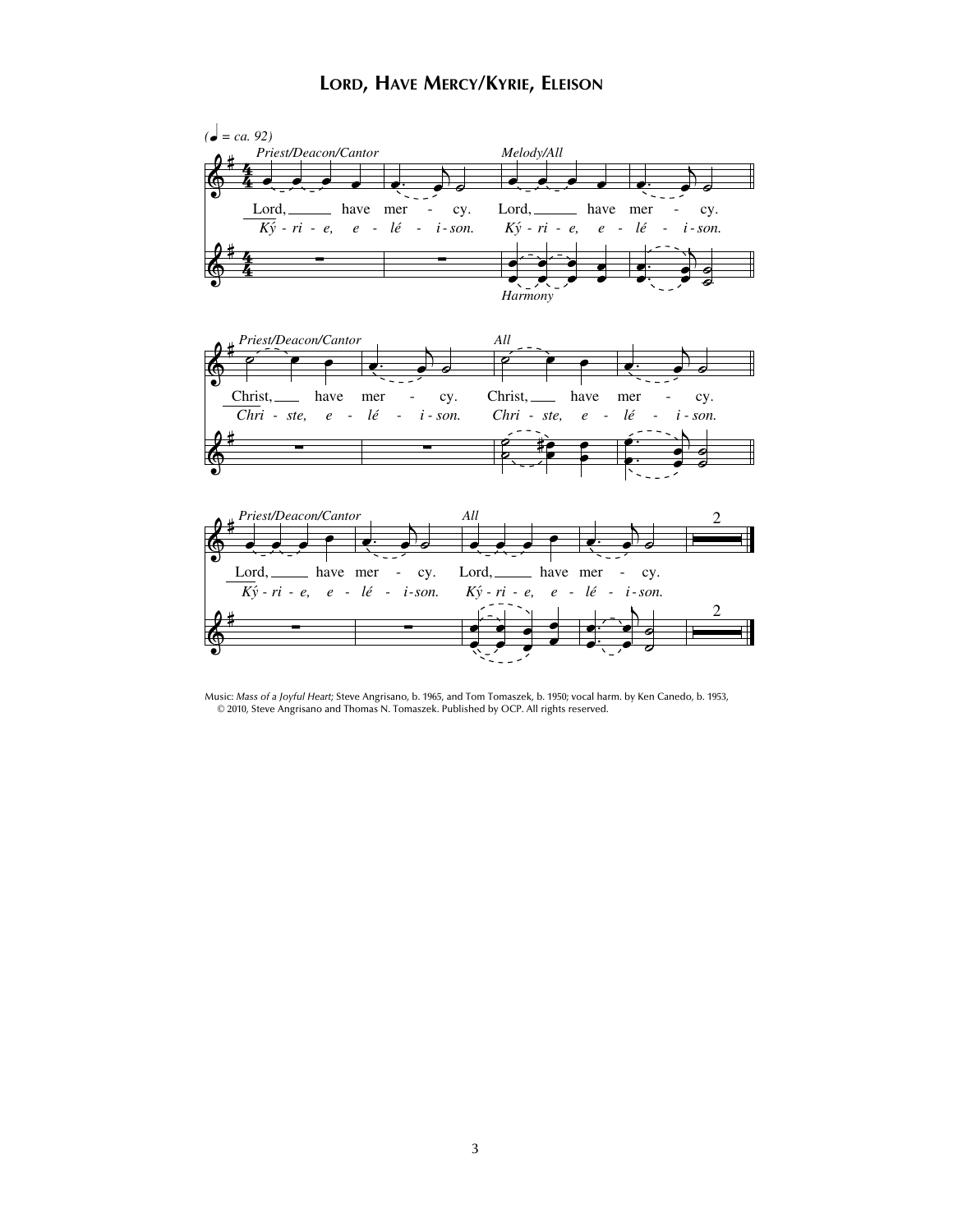## **LORD, HAVE MERCY/KYRIE, ELEISON**



Music: *Mass of a Joyful Heart;* Steve Angrisano, b. 1965, and Tom Tomaszek, b. 1950; vocal harm. by Ken Canedo, b. 1953, © 2010, Steve Angrisano and Thomas N. Tomaszek. Published by OCP. All rights reserved.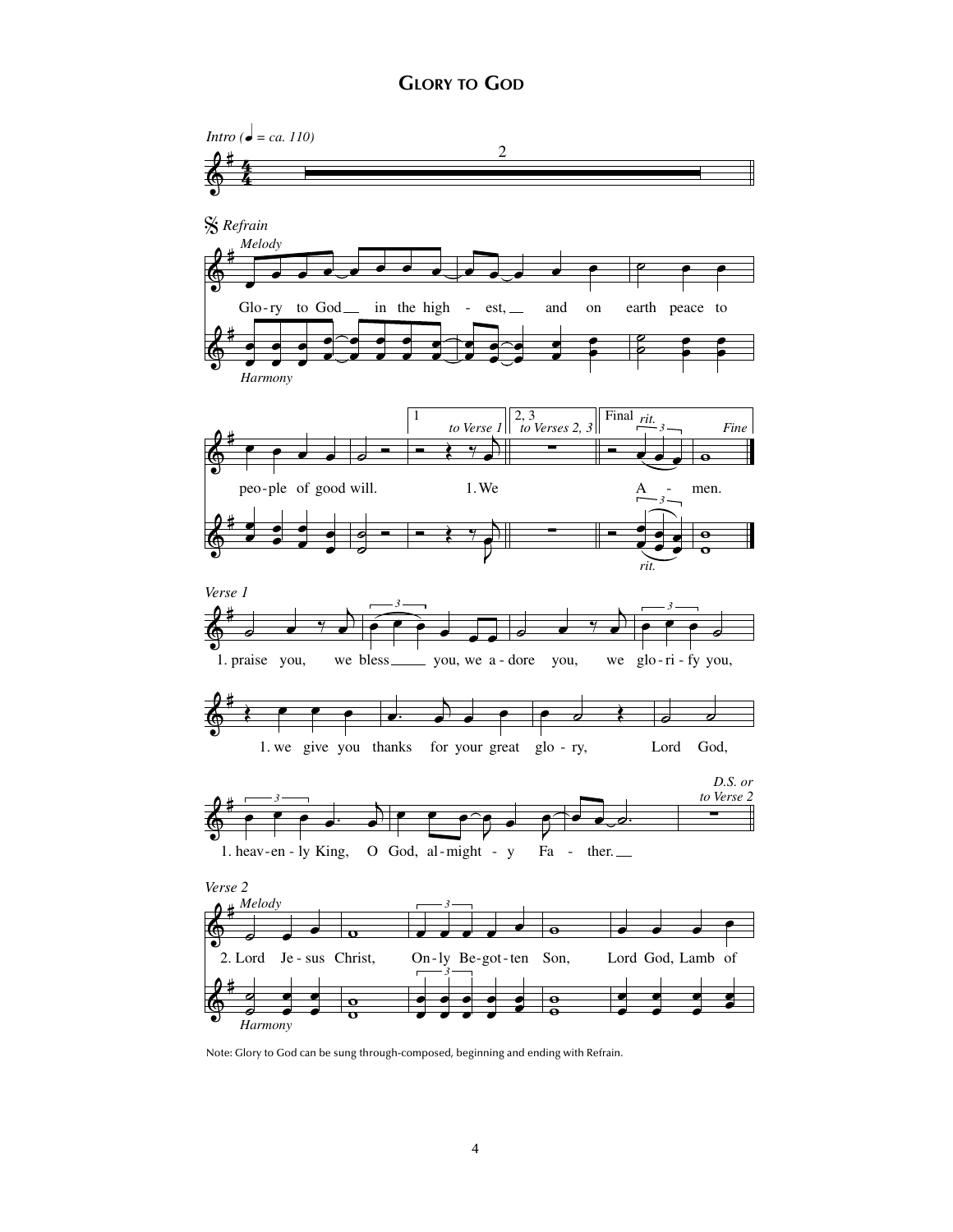

Note: Glory to God can be sung through-composed, beginning and ending with Refrain.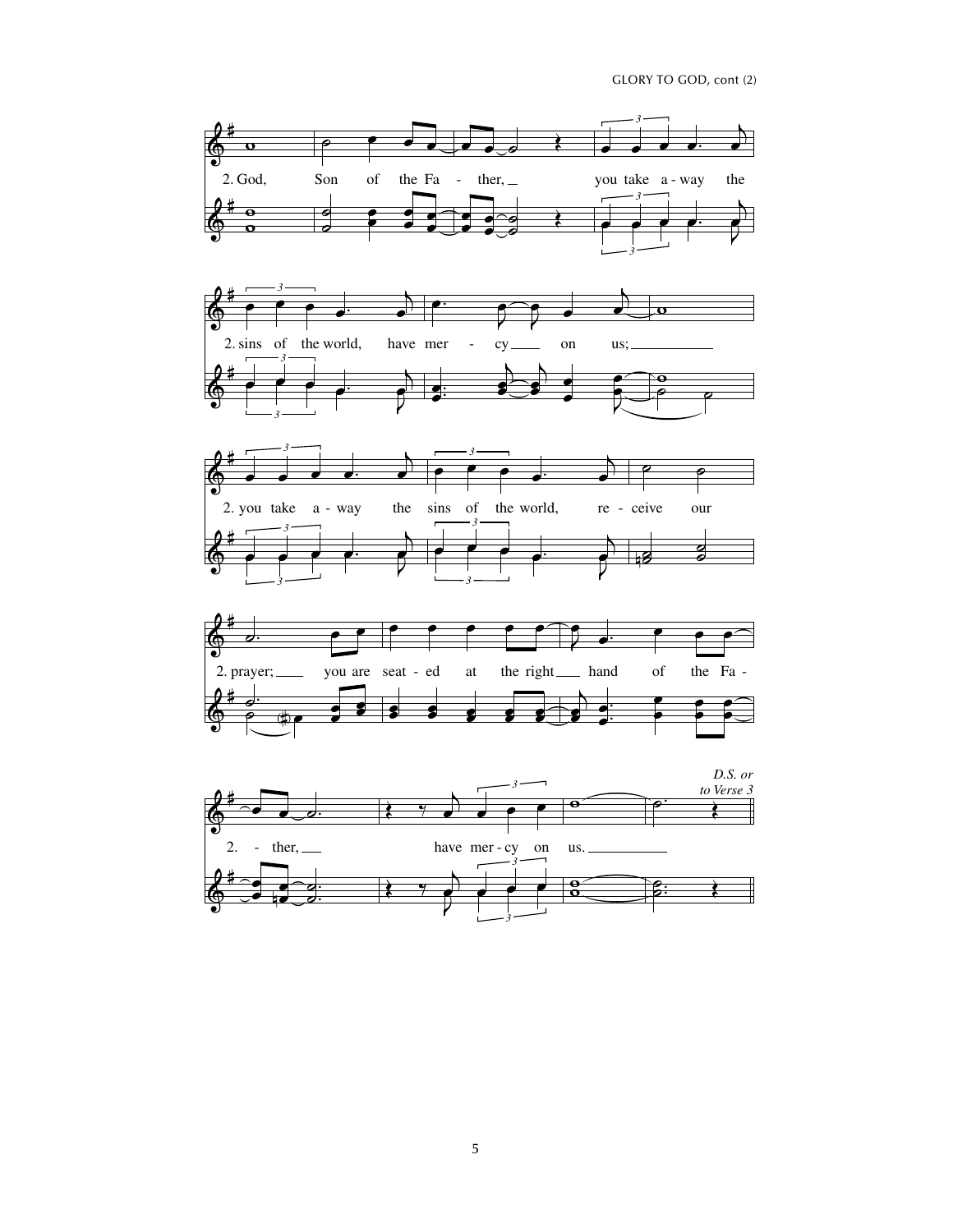







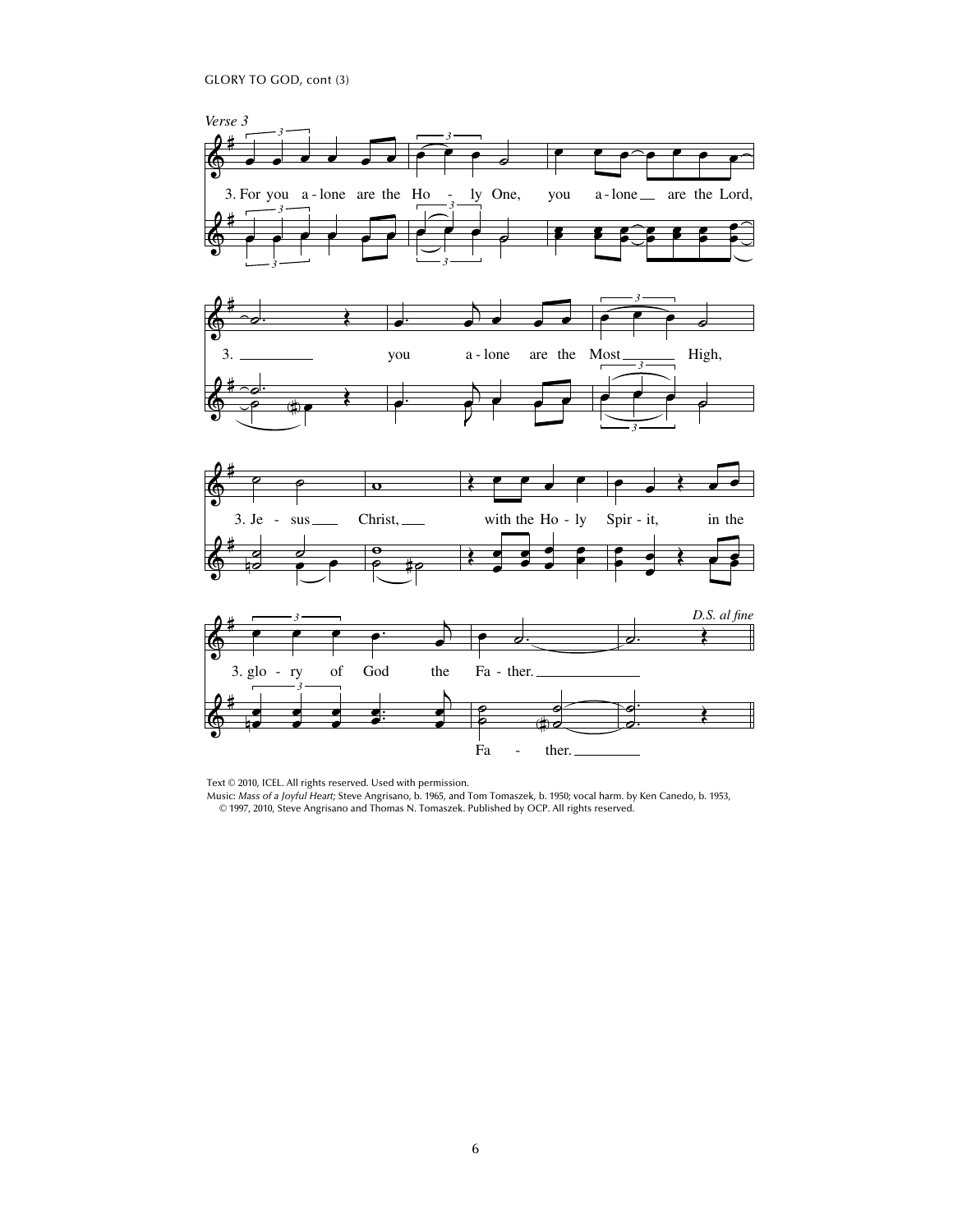GLORY TO GOD, cont (3)



Text © 2010, ICEL. All rights reserved. Used with permission.

Music: *Mass of a Joyful Heart;* Steve Angrisano, b. 1965, and Tom Tomaszek, b. 1950; vocal harm. by Ken Canedo, b. 1953, © 1997, 2010, Steve Angrisano and Thomas N. Tomaszek. Published by OCP. All rights reserved.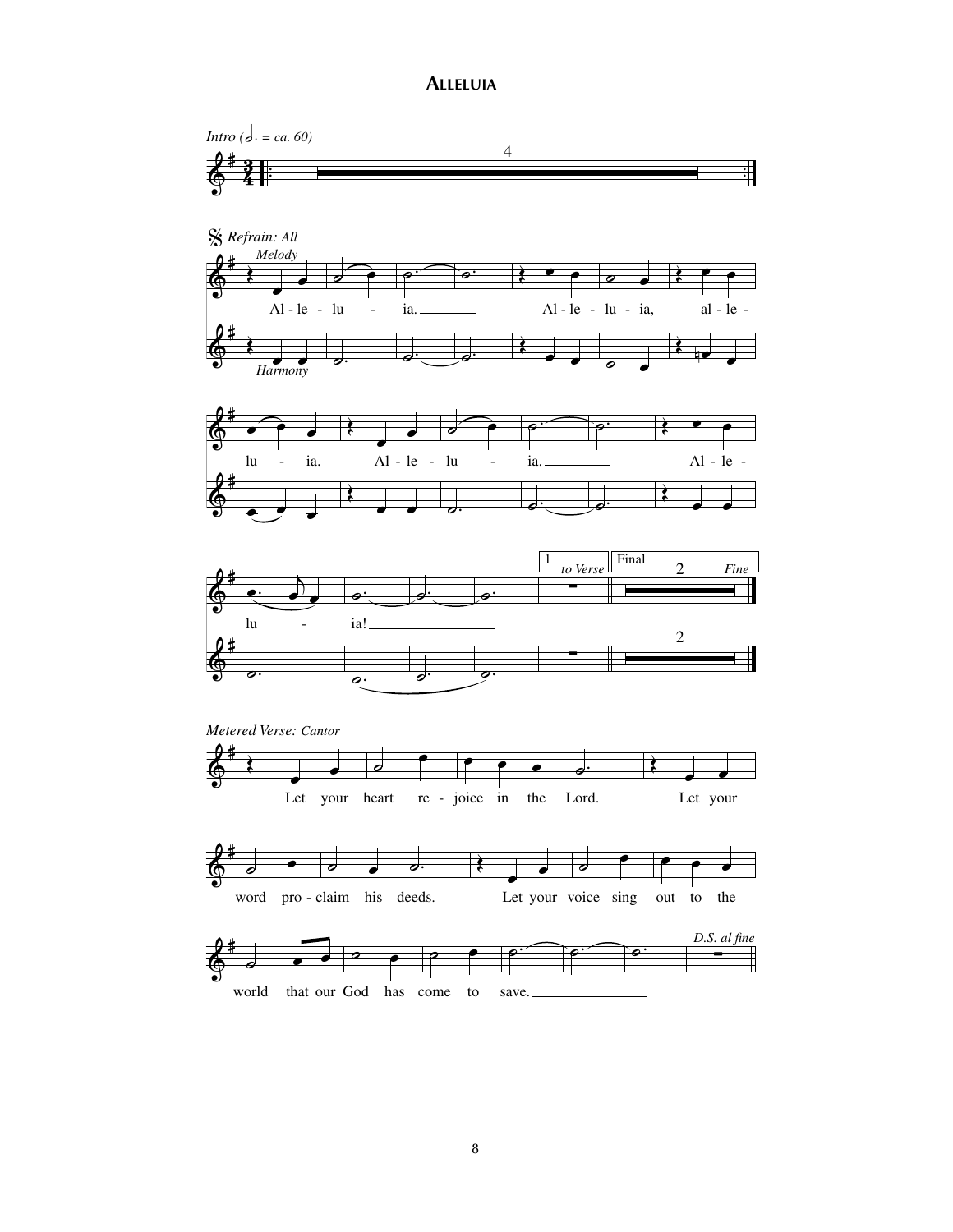## **ALLELUIA**

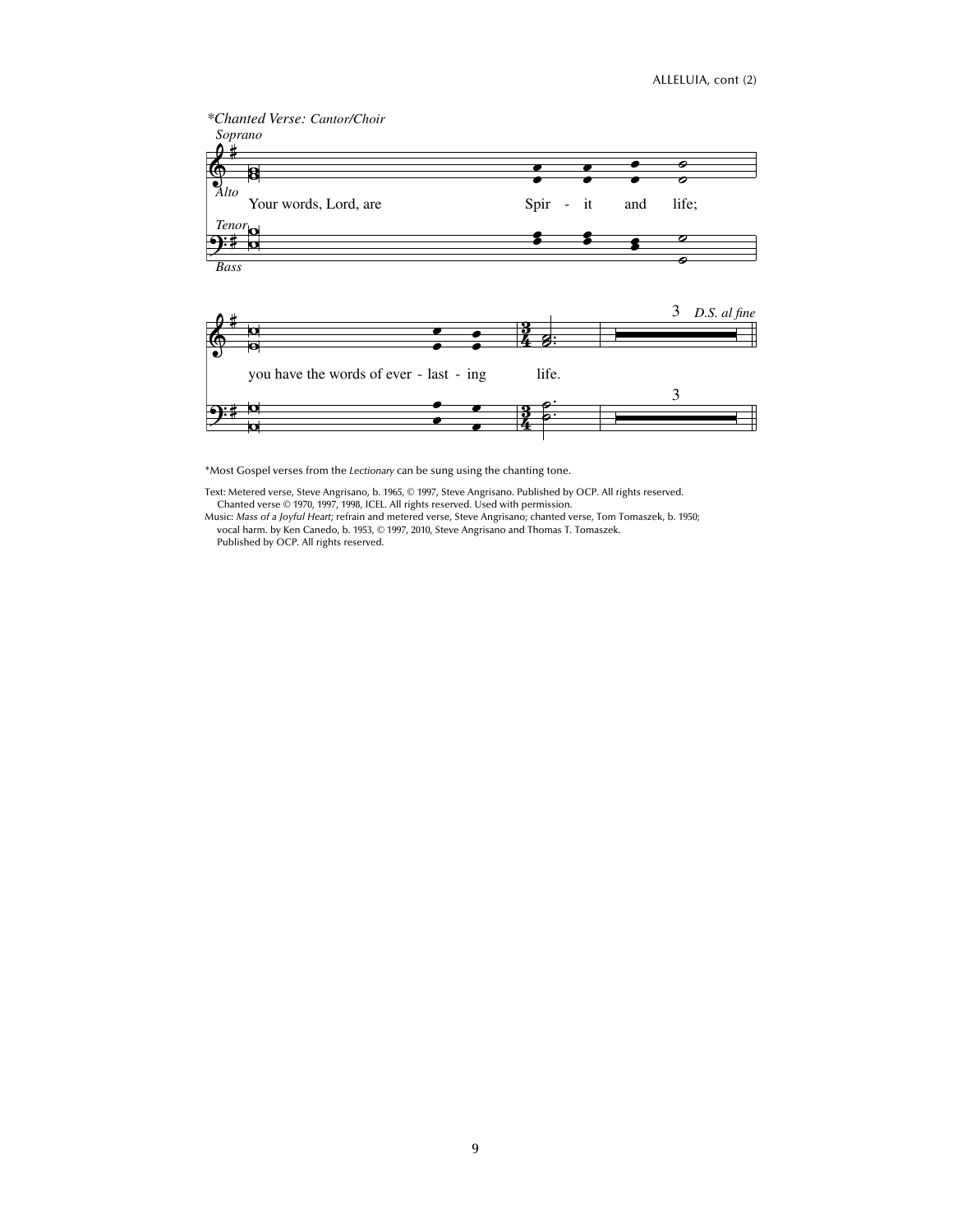

\*Most Gospel verses from the *Lectionary* can be sung using the chanting tone.

Text: Metered verse, Steve Angrisano, b. 1965, © 1997, Steve Angrisano. Published by OCP. All rights reserved.

Chanted verse © 1970, 1997, 1998, ICEL. All rights reserved. Used with permission. Music: *Mass of a Joyful Heart;* refrain and metered verse, Steve Angrisano; chanted verse, Tom Tomaszek, b. 1950; vocal harm. by Ken Canedo, b. 1953, © 1997, 2010, Steve Angrisano and Thomas T. Tomaszek. Published by OCP. All rights reserved.

9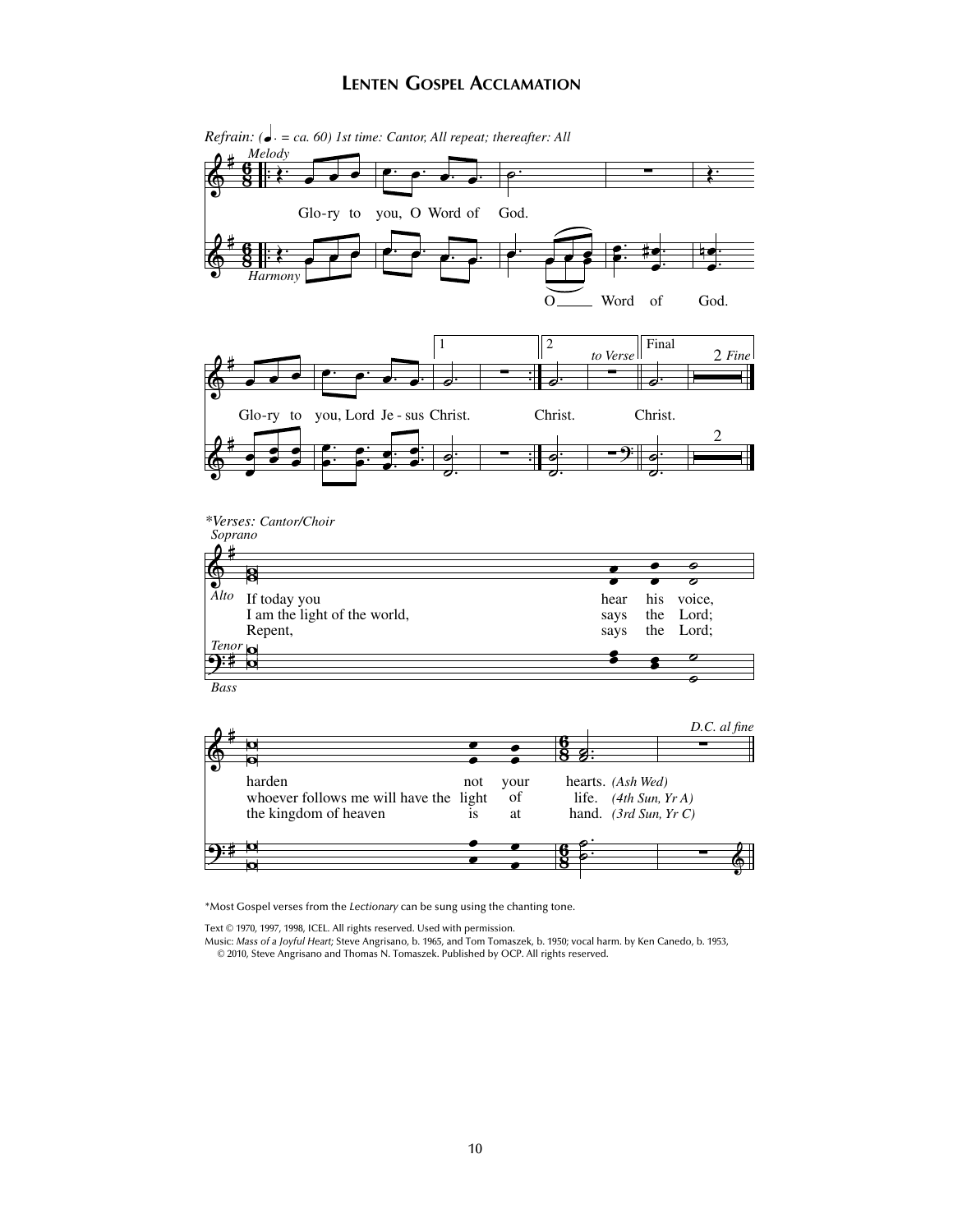## **LENTEN GOSPEL ACCLAMATION**



*Refrain:* ( $\bullet$  *= ca. 60) 1st time: Cantor, All repeat; thereafter: All* 

\*Most Gospel verses from the *Lectionary* can be sung using the chanting tone.

Text © 1970, 1997, 1998, ICEL. All rights reserved. Used with permission.

Music: *Mass of a Joyful Heart;* Steve Angrisano, b. 1965, and Tom Tomaszek, b. 1950; vocal harm. by Ken Canedo, b. 1953,

© 2010, Steve Angrisano and Thomas N. Tomaszek. Published by OCP. All rights reserved.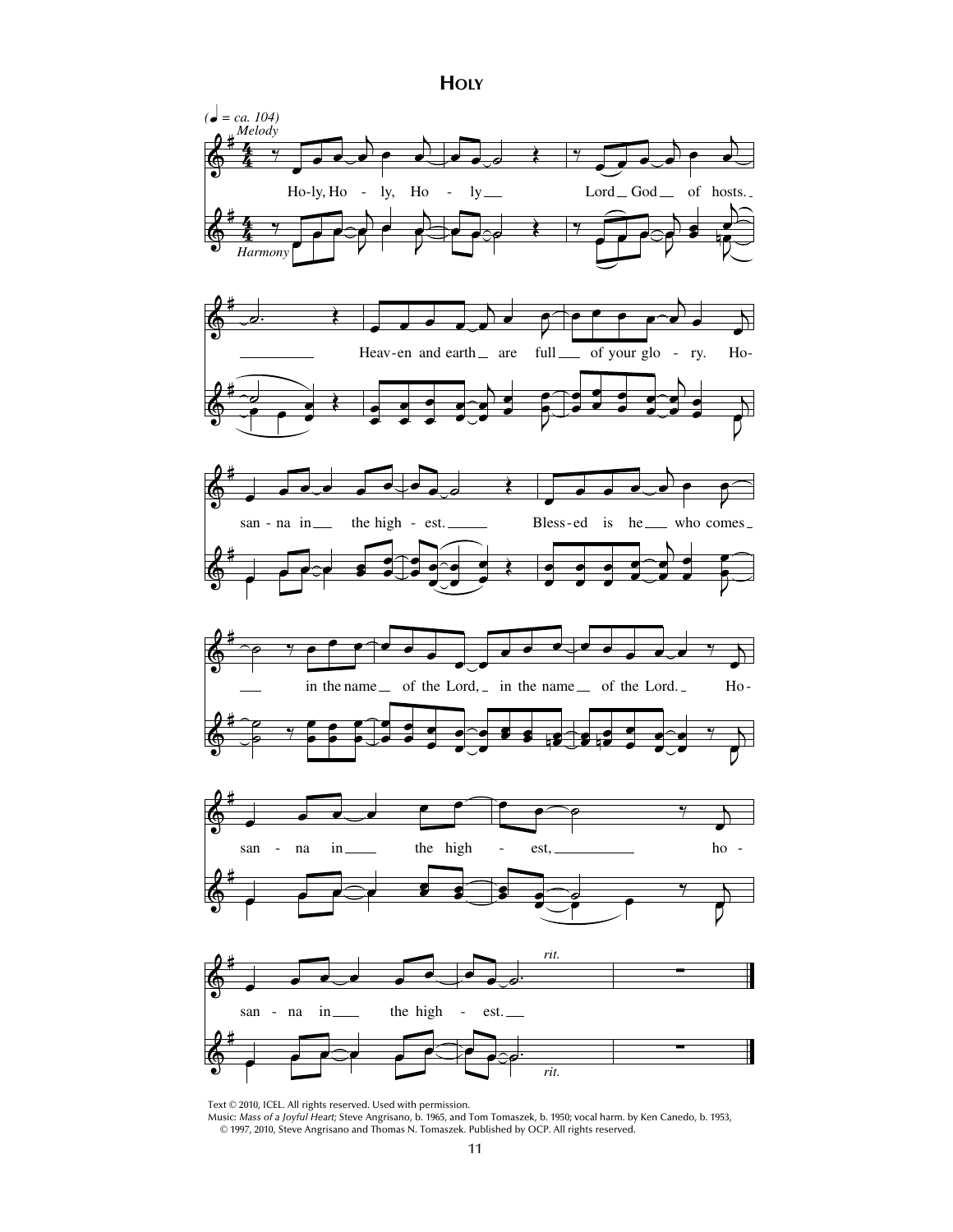













Text © 2010, ICEL. All rights reserved. Used with permission. Music: *Mass of a Joyful Heart;* Steve Angrisano, b. 1965, and Tom Tomaszek, b. 1950; vocal harm. by Ken Canedo, b. 1953, © 1997, 2010, Steve Angrisano and Thomas N. Tomaszek. Published by OCP. All rights reserved.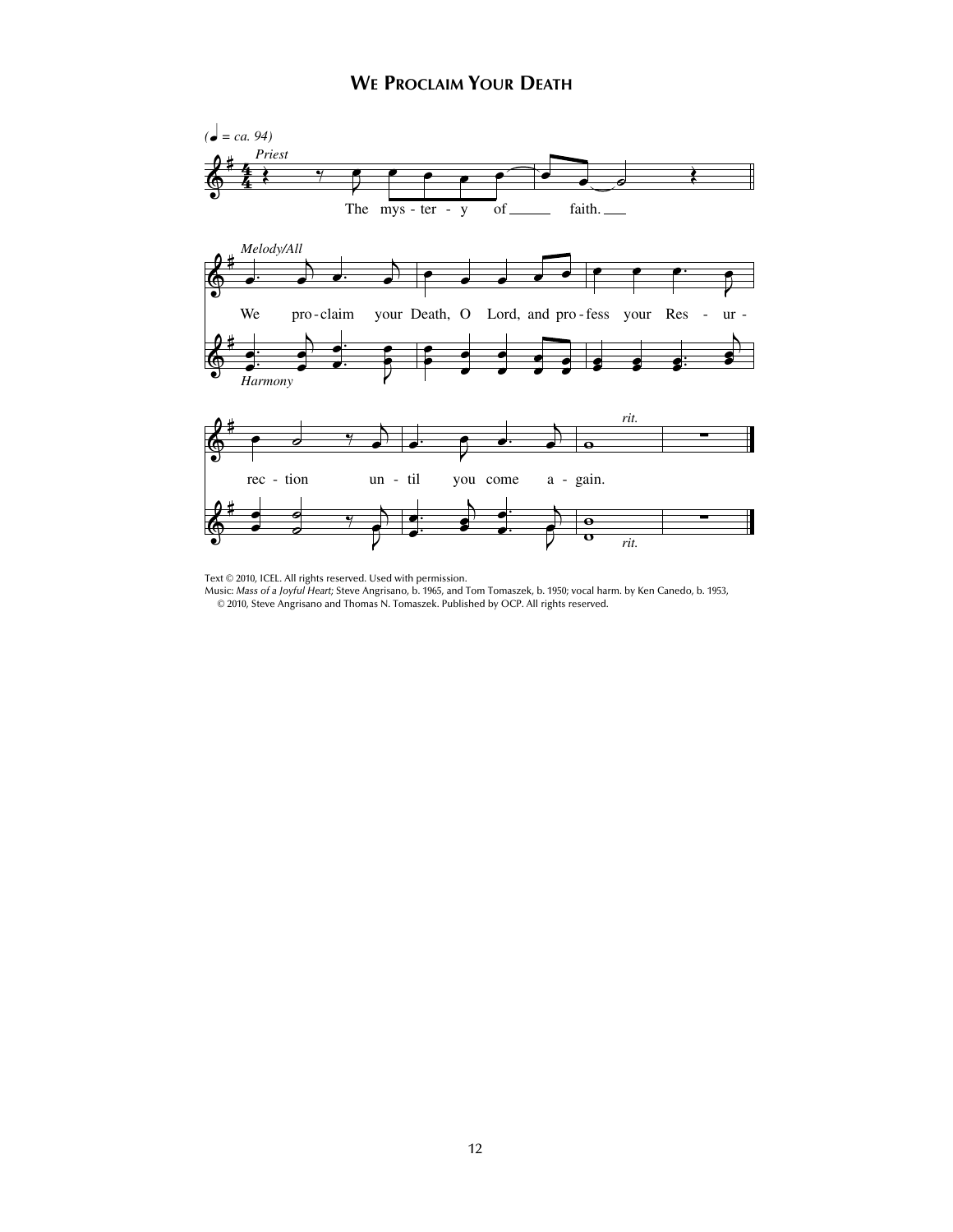

Text © 2010, ICEL. All rights reserved. Used with permission.

Music: *Mass of a Joyful Heart;* Steve Angrisano, b. 1965, and Tom Tomaszek, b. 1950; vocal harm. by Ken Canedo, b. 1953, © 2010, Steve Angrisano and Thomas N. Tomaszek. Published by OCP. All rights reserved.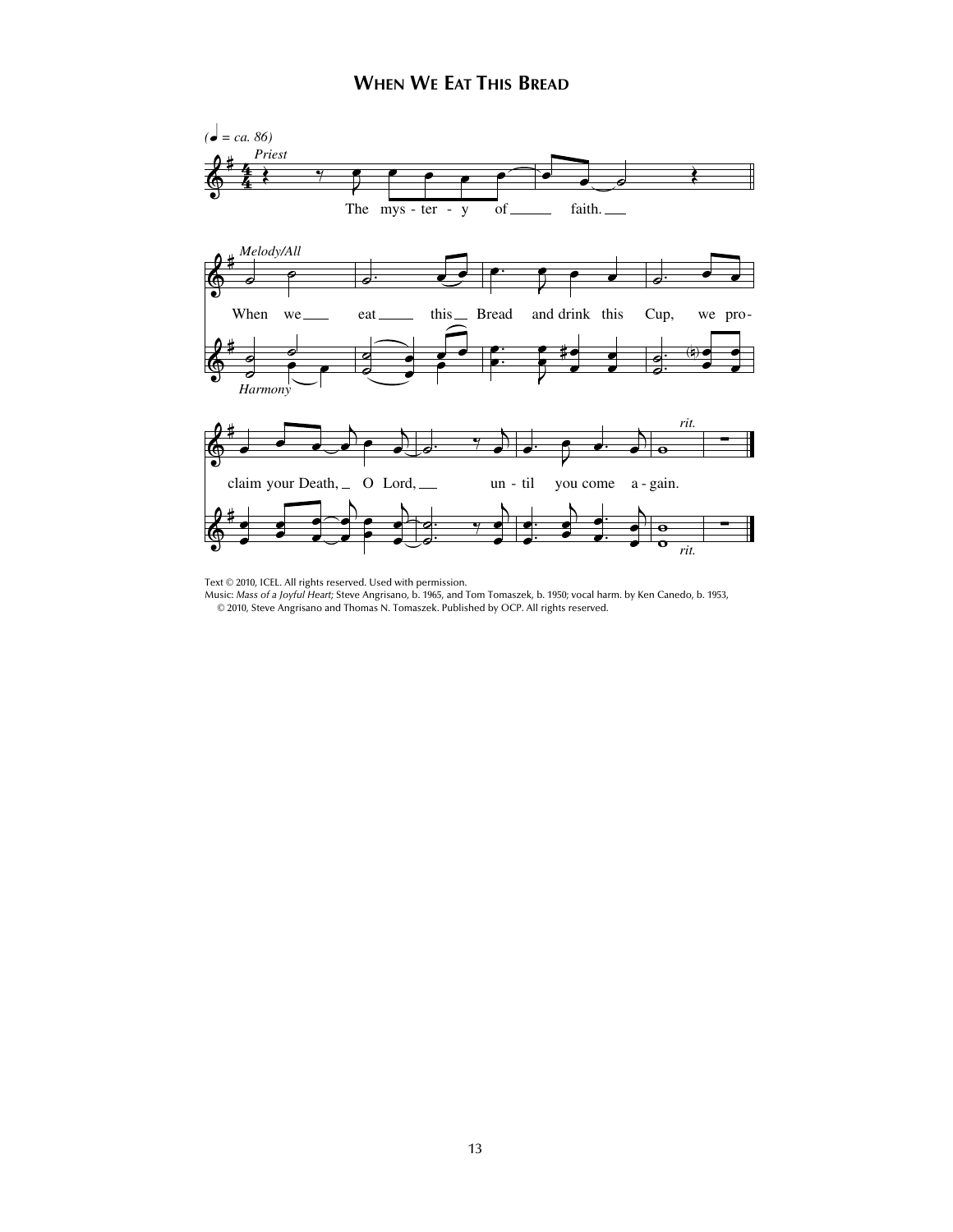

Text © 2010, ICEL. All rights reserved. Used with permission.<br>Music: *Mass of a Joyful Heart;* Steve Angrisano, b. 1965, and Tom Tomaszek, b. 1950; vocal harm. by Ken Canedo, b. 1953, © 2010, Steve Angrisano and Thomas N. Tomaszek. Published by OCP. All rights reserved.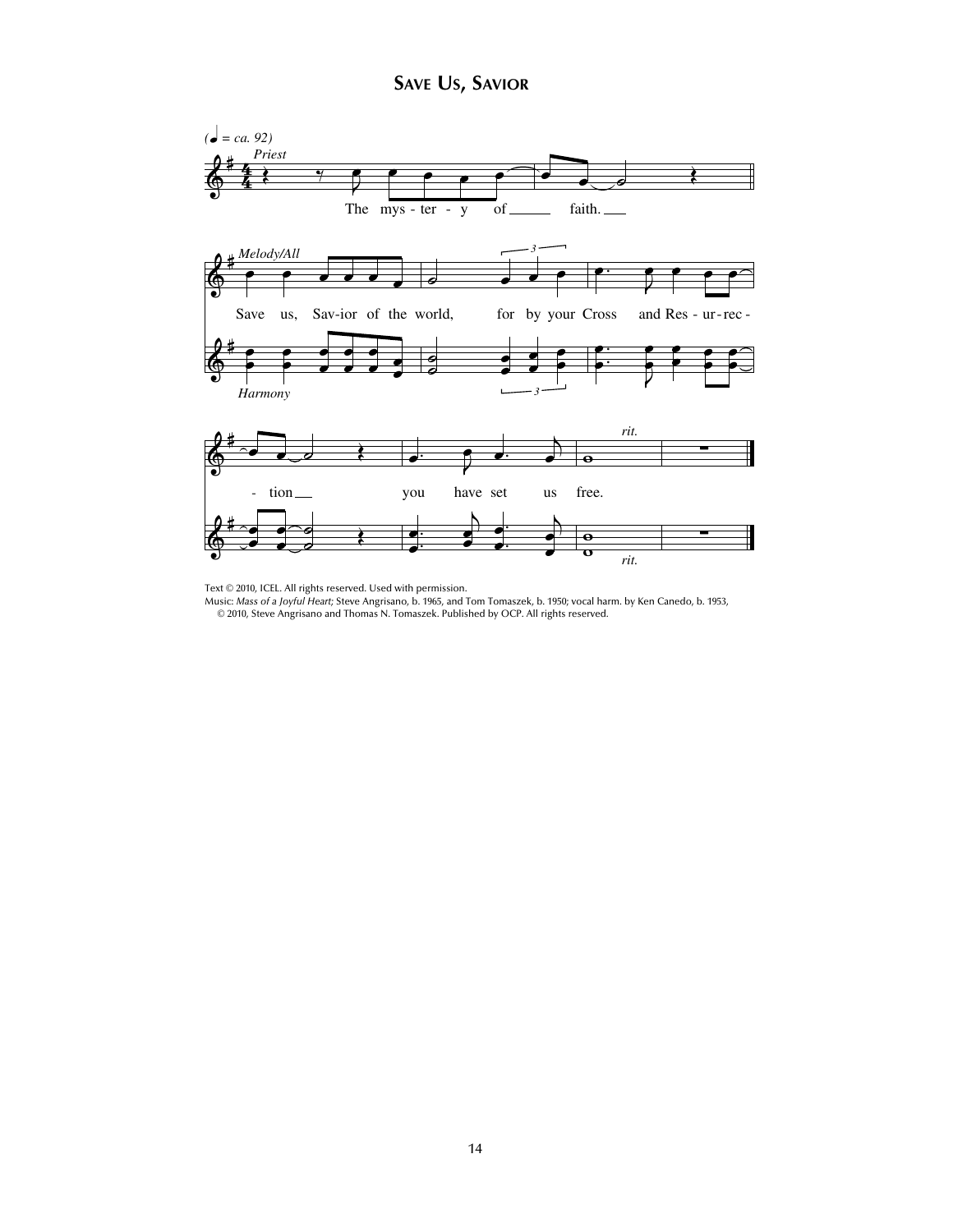

Text © 2010, ICEL. All rights reserved. Used with permission.<br>Music: *Mass of a Joyful Heart;* Steve Angrisano, b. 1965, and Tom Tomaszek, b. 1950; vocal harm. by Ken Canedo, b. 1953, © 2010, Steve Angrisano and Thomas N. Tomaszek. Published by OCP. All rights reserved.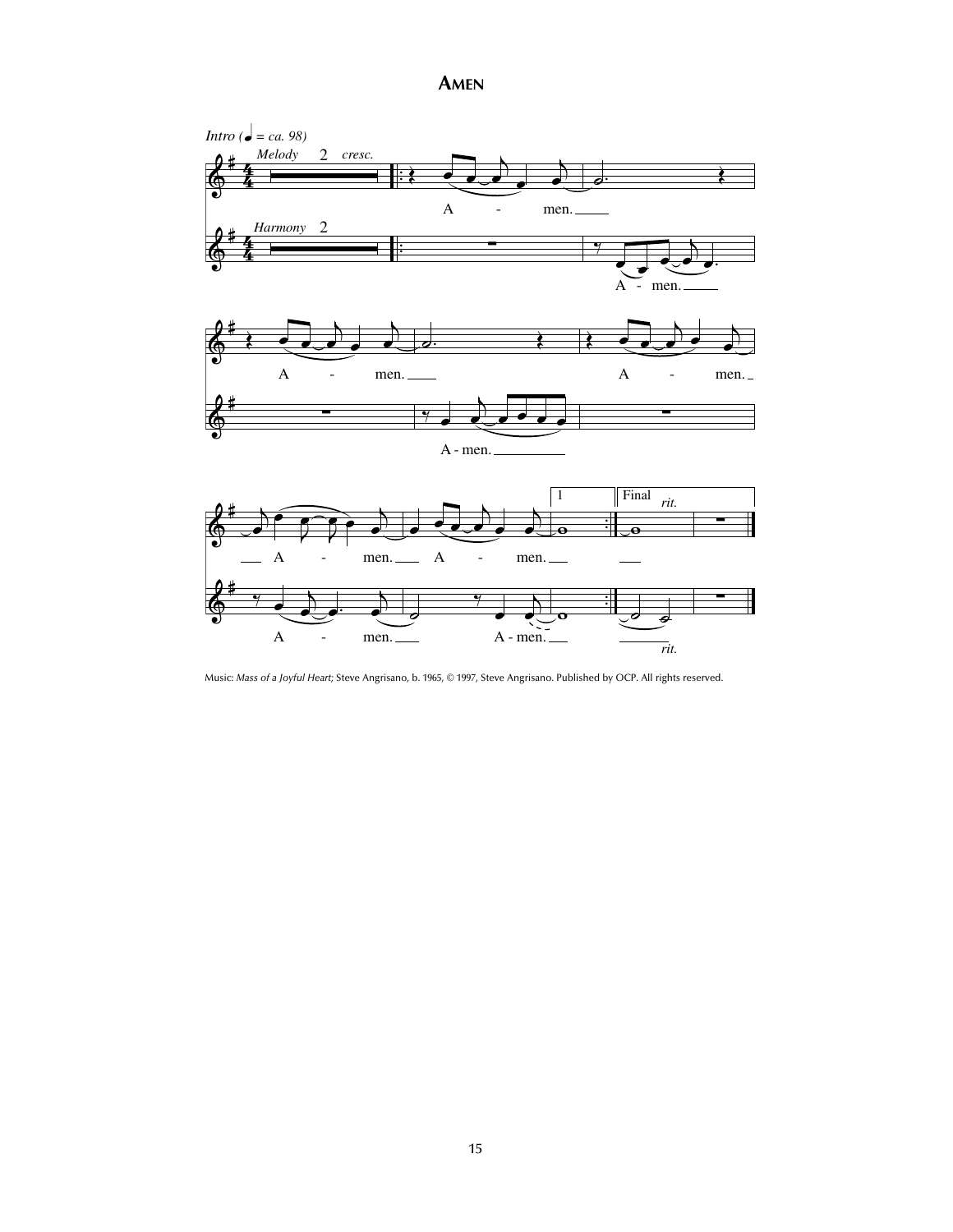**AMEN**



Music: *Mass of a Joyful Heart;* Steve Angrisano, b. 1965, © 1997, Steve Angrisano. Published by OCP. All rights reserved.